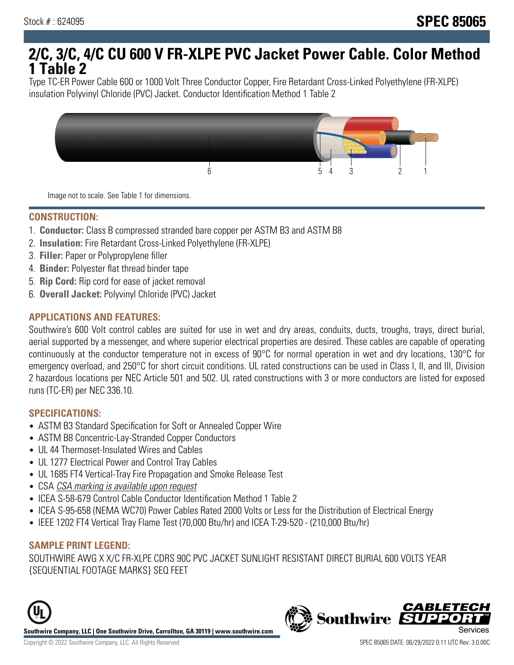# **2/C, 3/C, 4/C CU 600 V FR-XLPE PVC Jacket Power Cable. Color Method 1 Table 2**

Type TC-ER Power Cable 600 or 1000 Volt Three Conductor Copper, Fire Retardant Cross-Linked Polyethylene (FR-XLPE) insulation Polyvinyl Chloride (PVC) Jacket. Conductor Identification Method 1 Table 2



Image not to scale. See Table 1 for dimensions.

#### **CONSTRUCTION:**

- 1. **Conductor:** Class B compressed stranded bare copper per ASTM B3 and ASTM B8
- 2. **Insulation:** Fire Retardant Cross-Linked Polyethylene (FR-XLPE)
- 3. **Filler:** Paper or Polypropylene filler
- 4. **Binder:** Polyester flat thread binder tape
- 5. **Rip Cord:** Rip cord for ease of jacket removal
- 6. **Overall Jacket:** Polyvinyl Chloride (PVC) Jacket

## **APPLICATIONS AND FEATURES:**

Southwire's 600 Volt control cables are suited for use in wet and dry areas, conduits, ducts, troughs, trays, direct burial, aerial supported by a messenger, and where superior electrical properties are desired. These cables are capable of operating continuously at the conductor temperature not in excess of 90°C for normal operation in wet and dry locations, 130°C for emergency overload, and 250°C for short circuit conditions. UL rated constructions can be used in Class I, II, and III, Division 2 hazardous locations per NEC Article 501 and 502. UL rated constructions with 3 or more conductors are listed for exposed runs (TC-ER) per NEC 336.10.

#### **SPECIFICATIONS:**

- ASTM B3 Standard Specification for Soft or Annealed Copper Wire
- ASTM B8 Concentric-Lay-Stranded Copper Conductors
- UL 44 Thermoset-Insulated Wires and Cables
- UL 1277 Electrical Power and Control Tray Cables
- UL 1685 FT4 Vertical-Tray Fire Propagation and Smoke Release Test
- CSA CSA marking is available upon request
- ICEA S-58-679 Control Cable Conductor Identification Method 1 Table 2
- ICEA S-95-658 (NEMA WC70) Power Cables Rated 2000 Volts or Less for the Distribution of Electrical Energy
- IEEE 1202 FT4 Vertical Tray Flame Test (70,000 Btu/hr) and ICEA T-29-520 (210,000 Btu/hr)

#### **SAMPLE PRINT LEGEND:**

SOUTHWIRE AWG X X/C FR-XLPE CDRS 90C PVC JACKET SUNLIGHT RESISTANT DIRECT BURIAL 600 VOLTS YEAR {SEQUENTIAL FOOTAGE MARKS} SEQ FEET





**CABLETE**